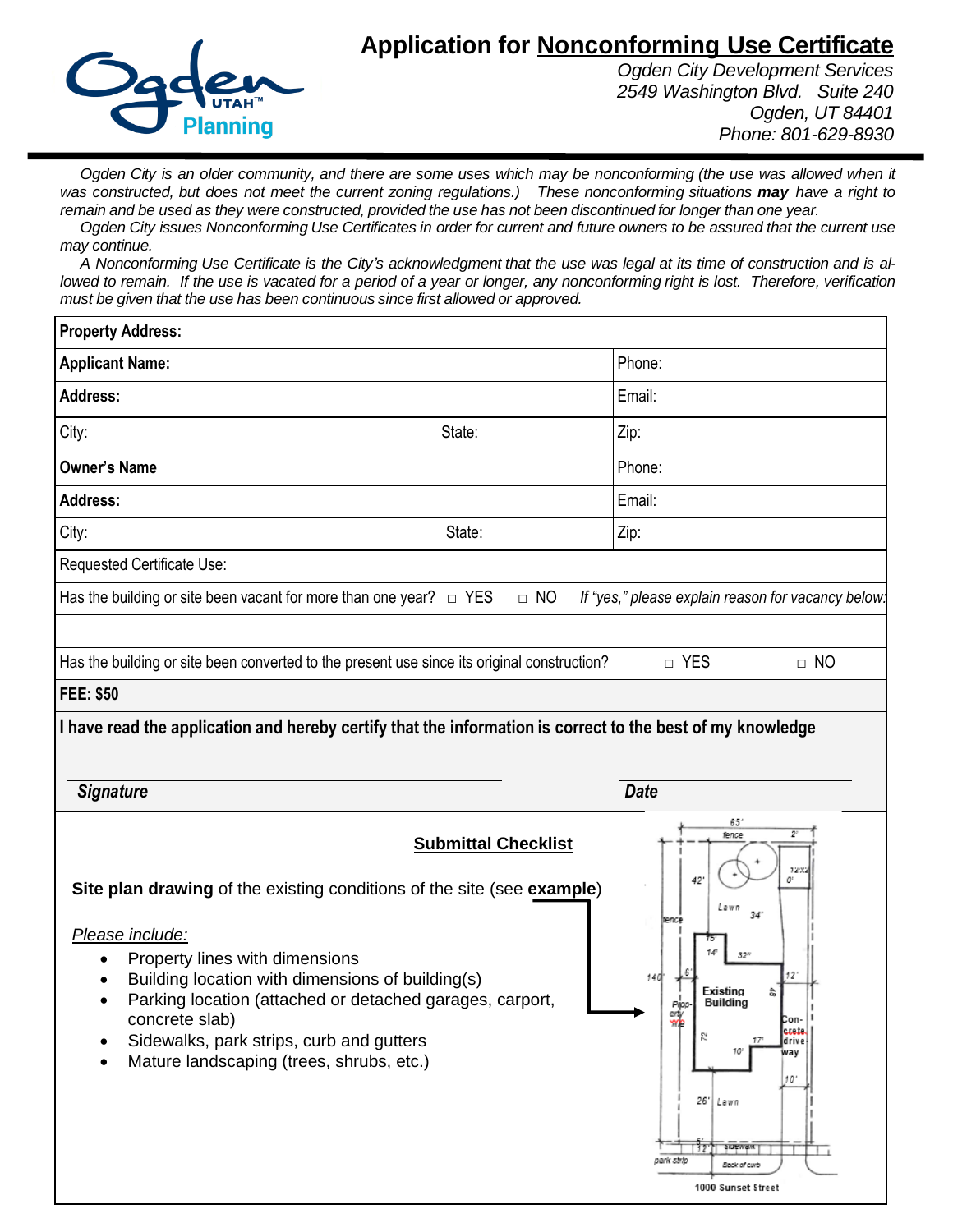# **Application for Nonconforming Use Certificate**



*Ogden City Development Services 2549 Washington Blvd. Suite 240 Ogden, UT 84401 Phone: 801-629-8930*

Ogden City is an older community, and there are some uses which may be nonconforming (the use was allowed when it was constructed, but does not meet the current zoning regulations.) These nonconforming situations may have a right to remain and be used as they were constructed, provided the use has not been discontinued for longer than one year.

Ogden City issues Nonconforming Use Certificates in order for current and future owners to be assured that the current use *may continue.*

A Nonconforming Use Certificate is the City's acknowledgment that the use was legal at its time of construction and is allowed to remain. If the use is vacated for a period of a year or longer, any nonconforming right is lost. Therefore, verification *must be given that the use has been continuous since first allowed or approved.*

| Phone:                                                                                                     |
|------------------------------------------------------------------------------------------------------------|
| Email:                                                                                                     |
| Zip:                                                                                                       |
| Phone:                                                                                                     |
| Email:                                                                                                     |
| Zip:                                                                                                       |
|                                                                                                            |
| If "yes," please explain reason for vacancy below:                                                         |
|                                                                                                            |
| □ YES<br>$\Box$ NO                                                                                         |
|                                                                                                            |
| <b>Date</b>                                                                                                |
| 65'<br>fence<br>12X<br>42<br>O'<br>Lawn<br>34 <sup>°</sup><br>fence<br>14<br>$32^v$                        |
| I have read the application and hereby certify that the information is correct to the best of my knowledge |